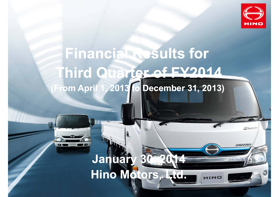

**FARED** 

ourrac

Honorie

# **Financial Results for Third Quarter of FY2014 (From April 1, 2013 to December 31, 2013)**

## **January Hino Motors, Ltd.**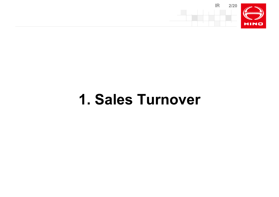

# **1. Sales Turnover**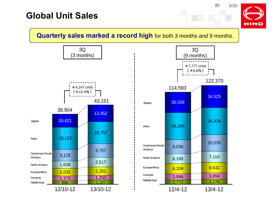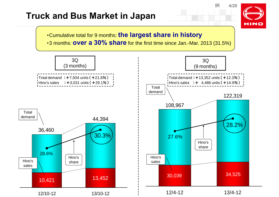### **Truck and Bus Market in Japan**



IR

**4/20**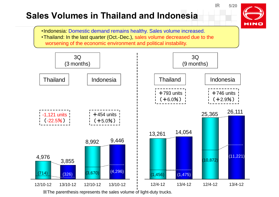## **Sales Volumes in Thailand and Indonesia**



IR

・Indonesia: Domestic demand remains healthy. Sales volume increased. ・Thailand: In the last quarter (Oct.-Dec.), sales volume decreased due to the worsening of the economic environment and political instability.



※The parenthesis represents the sales volume of light-duty trucks.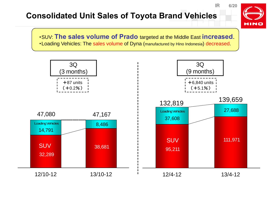### **Consolidated Unit Sales of Toyota Brand Vehicles**

**HINO** 

**6/20**

IR

・SUV: **The sales volume of Prado** targeted at the Middle East **increased**. ・Loading Vehicles: The sales volume of Dyna (manufactured by Hino Indonesia) decreased.

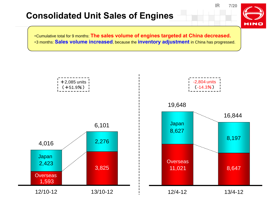## **Consolidated Unit Sales of Engines**

 **7/20HINO** 

IR

・Cumulative total for 9 months: **The sales volume of engines targeted at China decreased.** ・3 months: **Sales volume increased**, because the **inventory adjustment** in China has progressed.

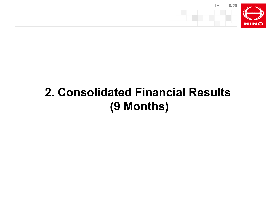

# **2. Consolidated Financial Results (9 Months)**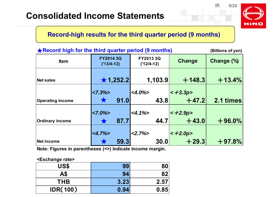#### **9/20**

IR

**HINO** 

### **Record-high results for the third quarter period (9 months)**

| ★ Record high for the third quarter period (9 months)<br>(Billions of yen) |                                  |      |                              |  |              |            |  |
|----------------------------------------------------------------------------|----------------------------------|------|------------------------------|--|--------------|------------|--|
| <b>Item</b>                                                                | <b>FY2014 3Q</b><br>$('13/4-12)$ |      | FY2013 3Q<br>$('12/4-12)$    |  | Change       | Change (%) |  |
| Net sales                                                                  | $\star$ 1,252.2                  |      | 1,103.9                      |  | $+ 148.3$    | $+13.4%$   |  |
|                                                                            | $ <7.3\%>$                       |      | $<\!\!\frac{4.0\%}{2}\!\!\!$ |  | $\lt +3.3p>$ |            |  |
| <b>Operating income</b>                                                    |                                  | 91.0 | 43.8                         |  | $+47.2$      | 2.1 times  |  |
|                                                                            | $<7.0\%$                         |      | $<4.1\%>$                    |  | $\lt +2.9p>$ |            |  |
| Ordinary income                                                            |                                  | 87.7 | 44.7                         |  | $+43.0$      | $+96.0\%$  |  |
|                                                                            | $<4.7\%>$                        |      | $<2.7\%>$                    |  | $< +2.0p$    |            |  |
| Net income                                                                 |                                  | 59.3 | <b>30.0</b>                  |  | $+29.3$      | $+97.8%$   |  |

**Note: Figures in parentheses (<>) indicate income margin.** 

#### **<Exchange rate>**

| US\$            | 99   | 80   |
|-----------------|------|------|
| A\$             | 94   | 82   |
| <b>THB</b>      | 3.23 | 2.57 |
| <b>IDR(100)</b> | 0.94 | 0.85 |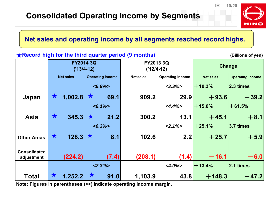

IR

### **Net sales and operating income by all segments reached record highs.**

#### **★Record high for the third quarter period (9 months) (Billions of yen)** (Billions of yen) **Net sales Operating income** *<6.9%> <3.3%>*+**10.3% 2.3 times** $\sqrt{4}$  **1,002.8 69.1 909.2 29.9** +**93.6** +**39.2** *<6.1%> <4.4%>*+**15.0%**+**61.5%Asia 345.3 21.2 300.2 13.1** $+45.1$ +**8.1** *<6.3%> <2.1%>*+**25.1% 3.7 times** $128.3$   $\times$   $8.1$   $102.6$  2.2 +**25.7** +**5.9 Consolidatedadjustment (224.2) (7.4) (208.1) (1.4)**  $-16.1$ -**6.0***<7.3%> <4.0%>*+**13.4% 2.1 timesTotal 1,252.2 91.0 1,103.9 43.8** +**148.3** +**47.2 Change Other AreasFY2014 3Q ('13/4-12) FY2013 3Q ('12/4-12) Net sales Operating income Net sales Operating income** ★ ★ ★ ★ ★ ★ ★ ★

**Note: Figures in parentheses (<>) indicate operating income margin.**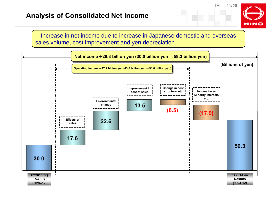

Increase in net income due to increase in Japanese domestic and overseas sales volume, cost improvement and yen depreciation.

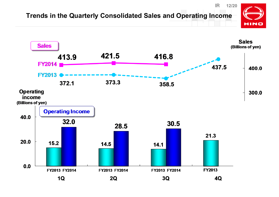#### IR **12/20Trends in the Quarterly Consolidated Sales and Operating IncomeHINO**

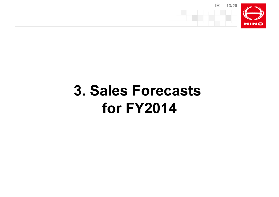

# **3. Sales Forecasts for FY2014**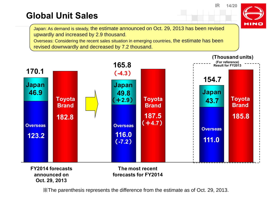## **Global Unit Sales**

Japan: As demand is steady, the estimate announced on Oct. 29, 2013 has been revised upwardly and increased by 2.9 thousand.

Overseas: Considering the recent sales situation in emerging countries, the estimate has been revised downwardly and decreased by 7.2 thousand.



**Oct. 29, 2013**

FY2014 forecasts The most recent<br> announced on forecasts for FY2014 **The most recent forecasts for FY2014**

※The parenthesis represents the difference from the estimate as of Oct. 29, 2013.

**14/20**

IR

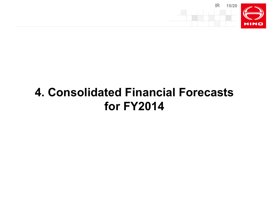

## **4. Consolidated Financial Forecasts for FY2014**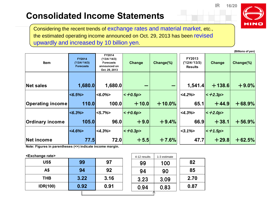## **Consolidated Income Statements**

Considering the recent trends of exchange rates and material market, etc., the estimated operating income announced on Oct. 29, 2013 has been revised upwardly and increased by 10 billion yen.

| Item                    | <b>FY2014</b><br>$('13/4-'14/3)$<br><b>Forecasts</b> | FY2014<br>$('13/4-'14/3)$<br><b>Forecasts</b><br>announced on<br>Oct. 29, 2013 | Change    | Change(%) | FY2013<br>('12/4-'13/3)<br><b>Results</b> | <b>Change</b> | Change(%) |
|-------------------------|------------------------------------------------------|--------------------------------------------------------------------------------|-----------|-----------|-------------------------------------------|---------------|-----------|
| <b>Net sales</b>        | 1,680.0                                              | 1,680.0                                                                        |           | -         | 1,541.4                                   | $+138.6$      | $+9.0%$   |
|                         | $ <\!\!6.5\!\%$                                      | $ <\!\!\delta.0\!\%$                                                           | $< +0.5p$ |           | $<4.2\%$                                  | $< +2.3p$     |           |
| <b>Operating income</b> | 110.0                                                | 100.0                                                                          | $+10.0$   | $+10.0%$  | 65.1                                      | $+44.9$       | $+68.9%$  |
|                         | $ <\!\!\delta.3\!\!>\!\!>\!\!>$                      | $ <\!\!\!\sim5.7\%$                                                            | $< +0.6p$ |           | $<4.3\%>$                                 | $\leq$ +2.0p> |           |
| <b>Ordinary income</b>  | 105.0                                                | 96.0                                                                           | $+9.0$    | $+9.4%$   | 66.9                                      | $+38.1$       | $+56.9%$  |
|                         | $<4.6\%$                                             | $\leq 4.3\%$                                                                   | $< +0.3p$ |           | $<$ 3.1% $>$                              | $\lt + 1.5p$  |           |
| Net income              | 77.5                                                 | 72.0                                                                           | $+5.5$    | $+7.6%$   | 47.7                                      | $+29.8$       | $+62.5%$  |

**Note: Figures in parentheses (<>) indicate income margin.**

#### **<Exchange rate>**

|                 |      |      | <b>HEIZ IGOUILD</b> | סוווווסט ט־ו |      |
|-----------------|------|------|---------------------|--------------|------|
| US\$            | 99   | 97   | 99                  | 100          | 82   |
| A\$             | 94   | 92   | 94                  | 90           | 85   |
| <b>THB</b>      | 3.22 | 3.16 | 3.23                | 3.09         | 2.70 |
| <b>IDR(100)</b> | 0.92 | 0.91 | 0.94                | 0.83         | 0.87 |
|                 |      |      |                     |              |      |

| 4-12 results | 1-3 estimate |      |
|--------------|--------------|------|
| 99           | 100          | 82   |
| 94           | 90           | 85   |
| 3.23         | 3.09         | 2.70 |
| 0.94         | 0.83         | 0.87 |
|              |              |      |



**(Billions of yen)**

IR

**16/20**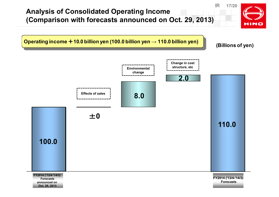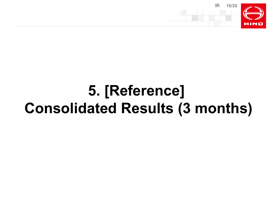

# **5. [Reference] Consolidated Results (3 months)**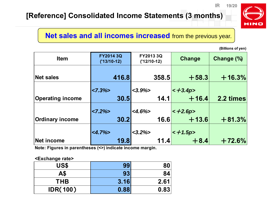### **[Reference] Consolidated Income Statements (3 months)**



### **Net sales and all incomes increased** from the previous year.

**(Billions of yen)**

IR

| <b>Item</b>             | FY2014 3Q<br>$('13/10-12)$ | FY2013 3Q<br>$('12/10-12)$ | Change       | Change (%) |
|-------------------------|----------------------------|----------------------------|--------------|------------|
| Net sales               | 416.8                      | 358.5                      | $+58.3$      | $+16.3%$   |
|                         | $< 7.3\frac{1}{2}$         | $<3.9\%>$                  | $\lt +3.4p$  |            |
| <b>Operating income</b> | 30.5                       | 14.1                       | $+16.4$      | 2.2 times  |
|                         | $<7.2\%$                   | $-4.6\%$                   | $\lt +2.6p>$ |            |
| <b>Ordinary income</b>  | 30.2                       | 16.6                       | $+13.6$      | $+81.3%$   |
|                         | $<4.7\%>$                  | $<3.2\%$                   | $< +1.5p$    |            |
| Net income              | 19.8                       | 11.4                       | $+8.4$       | $+72.6%$   |

**Note: Figures in parentheses (<>) indicate income margin.**

#### **<Exchange rate>**

| $\cdot$<br><b>US\$</b> | 99   |                 |
|------------------------|------|-----------------|
| A\$                    | 93   | 84 <sup>¦</sup> |
| <b>THB</b>             | 3.16 | 2.61            |
| <b>IDR(100)</b>        | 0.88 | 0.83            |